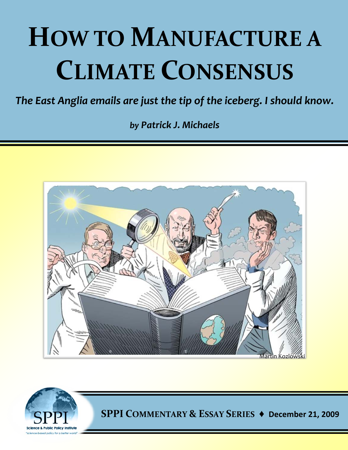## **HOW TO MANUFACTURE A CLIMATE CONSENSUS**

*The East Anglia emails are just the tip of the iceberg. I should know.*

*by Patrick J. Michaels*





**SPPI COMMENTARY & ESSAY SERIES ♦ December 21, 2009**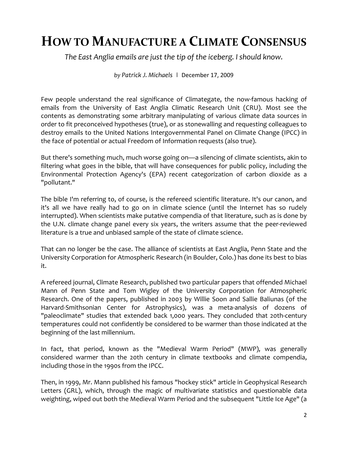## **HOW TO MANUFACTURE A CLIMATE CONSENSUS**

*The East Anglia emails are just the tip of the iceberg. I should know.*

*by Patrick J. Michaels* **|** December 17, 2009

Few people understand the real significance of Climategate, the now-famous hacking of emails from the University of East Anglia Climatic Research Unit (CRU). Most see the contents as demonstrating some arbitrary manipulating of various climate data sources in order to fit preconceived hypotheses (true), or as stonewalling and requesting colleagues to destroy emails to the United Nations Intergovernmental Panel on Climate Change (IPCC) in the face of potential or actual Freedom of Information requests (also true).

But there's something much, much worse going on—a silencing of climate scientists, akin to filtering what goes in the bible, that will have consequences for public policy, including the Environmental Protection Agency's (EPA) recent categorization of carbon dioxide as a "pollutant."

The bible I'm referring to, of course, is the refereed scientific literature. It's our canon, and it's all we have really had to go on in climate science (until the Internet has so rudely interrupted). When scientists make putative compendia of that literature, such as is done by the U.N. climate change panel every six years, the writers assume that the peer-reviewed literature is a true and unbiased sample of the state of climate science.

That can no longer be the case. The alliance of scientists at East Anglia, Penn State and the University Corporation for Atmospheric Research (in Boulder, Colo.) has done its best to bias it.

A refereed journal, Climate Research, published two particular papers that offended Michael Mann of Penn State and Tom Wigley of the University Corporation for Atmospheric Research. One of the papers, published in 2003 by Willie Soon and Sallie Baliunas (of the Harvard-Smithsonian Center for Astrophysics), was a meta-analysis of dozens of "paleoclimate" studies that extended back 1,000 years. They concluded that 20th-century temperatures could not confidently be considered to be warmer than those indicated at the beginning of the last millennium.

In fact, that period, known as the "Medieval Warm Period" (MWP), was generally considered warmer than the 20th century in climate textbooks and climate compendia, including those in the 1990s from the IPCC.

Then, in 1999, Mr. Mann published his famous "hockey stick" article in Geophysical Research Letters (GRL), which, through the magic of multivariate statistics and questionable data weighting, wiped out both the Medieval Warm Period and the subsequent "Little Ice Age" (a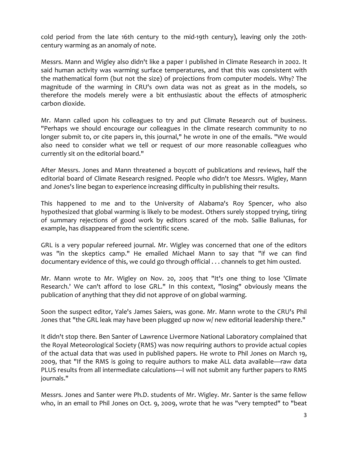cold period from the late 16th century to the mid-19th century), leaving only the 20thcentury warming as an anomaly of note.

Messrs. Mann and Wigley also didn't like a paper I published in Climate Research in 2002. It said human activity was warming surface temperatures, and that this was consistent with the mathematical form (but not the size) of projections from computer models. Why? The magnitude of the warming in CRU's own data was not as great as in the models, so therefore the models merely were a bit enthusiastic about the effects of atmospheric carbon dioxide.

Mr. Mann called upon his colleagues to try and put Climate Research out of business. "Perhaps we should encourage our colleagues in the climate research community to no longer submit to, or cite papers in, this journal," he wrote in one of the emails. "We would also need to consider what we tell or request of our more reasonable colleagues who currently sit on the editorial board."

After Messrs. Jones and Mann threatened a boycott of publications and reviews, half the editorial board of Climate Research resigned. People who didn't toe Messrs. Wigley, Mann and Jones's line began to experience increasing difficulty in publishing their results.

This happened to me and to the University of Alabama's Roy Spencer, who also hypothesized that global warming is likely to be modest. Others surely stopped trying, tiring of summary rejections of good work by editors scared of the mob. Sallie Baliunas, for example, has disappeared from the scientific scene.

GRL is a very popular refereed journal. Mr. Wigley was concerned that one of the editors was "in the skeptics camp." He emailed Michael Mann to say that "if we can find documentary evidence of this, we could go through official . . . channels to get him ousted.

Mr. Mann wrote to Mr. Wigley on Nov. 20, 2005 that "It's one thing to lose 'Climate Research.' We can't afford to lose GRL." In this context, "losing" obviously means the publication of anything that they did not approve of on global warming.

Soon the suspect editor, Yale's James Saiers, was gone. Mr. Mann wrote to the CRU's Phil Jones that "the GRL leak may have been plugged up now w/ new editorial leadership there."

It didn't stop there. Ben Santer of Lawrence Livermore National Laboratory complained that the Royal Meteorological Society (RMS) was now requiring authors to provide actual copies of the actual data that was used in published papers. He wrote to Phil Jones on March 19, 2009, that "If the RMS is going to require authors to make ALL data available—raw data PLUS results from all intermediate calculations—I will not submit any further papers to RMS journals."

Messrs. Jones and Santer were Ph.D. students of Mr. Wigley. Mr. Santer is the same fellow who, in an email to Phil Jones on Oct. 9, 2009, wrote that he was "very tempted" to "beat